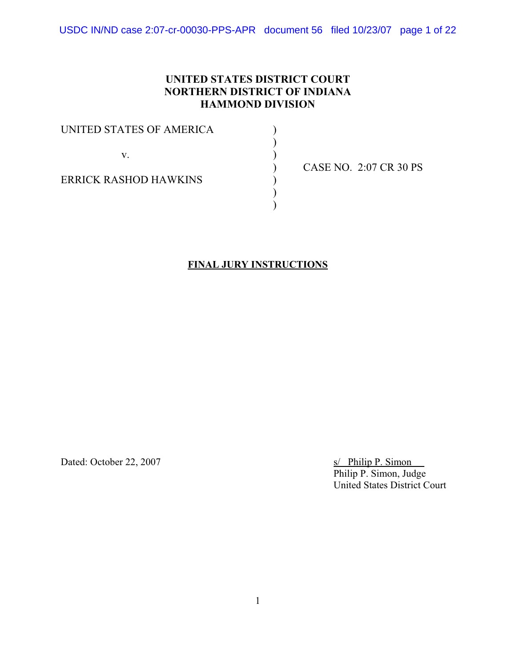USDC IN/ND case 2:07-cr-00030-PPS-APR document 56 filed 10/23/07 page 1 of 22

# **UNITED STATES DISTRICT COURT NORTHERN DISTRICT OF INDIANA HAMMOND DIVISION**

| UNITED STATES OF AMERICA     |             |
|------------------------------|-------------|
|                              |             |
| V.                           |             |
|                              | <b>CASE</b> |
| <b>ERRICK RASHOD HAWKINS</b> |             |
|                              |             |
|                              |             |

) CASE NO. 2:07 CR 30 PS

## **FINAL JURY INSTRUCTIONS**

Dated: October 22, 2007 s/ Philip P. Simon

Philip P. Simon, Judge United States District Court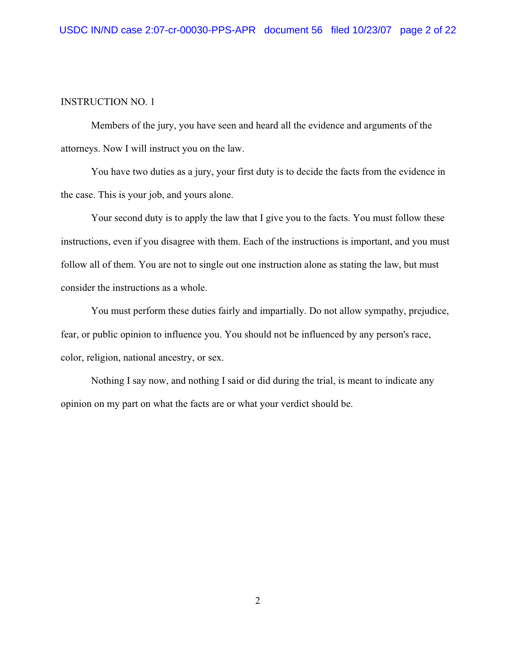Members of the jury, you have seen and heard all the evidence and arguments of the attorneys. Now I will instruct you on the law.

You have two duties as a jury, your first duty is to decide the facts from the evidence in the case. This is your job, and yours alone.

Your second duty is to apply the law that I give you to the facts. You must follow these instructions, even if you disagree with them. Each of the instructions is important, and you must follow all of them. You are not to single out one instruction alone as stating the law, but must consider the instructions as a whole.

You must perform these duties fairly and impartially. Do not allow sympathy, prejudice, fear, or public opinion to influence you. You should not be influenced by any person's race, color, religion, national ancestry, or sex.

Nothing I say now, and nothing I said or did during the trial, is meant to indicate any opinion on my part on what the facts are or what your verdict should be.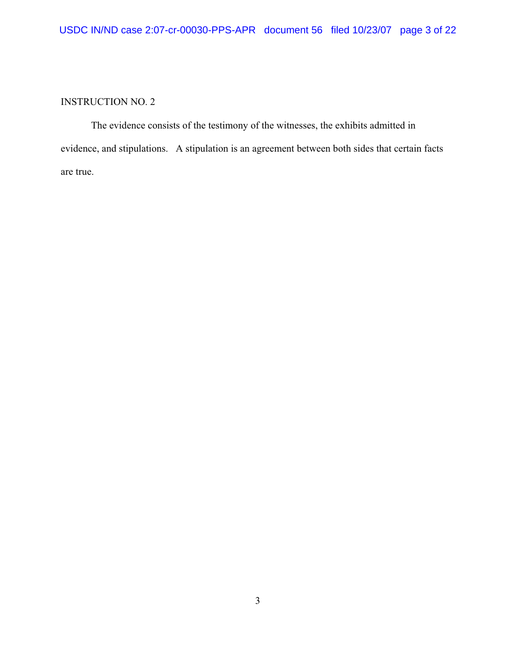The evidence consists of the testimony of the witnesses, the exhibits admitted in evidence, and stipulations. A stipulation is an agreement between both sides that certain facts are true.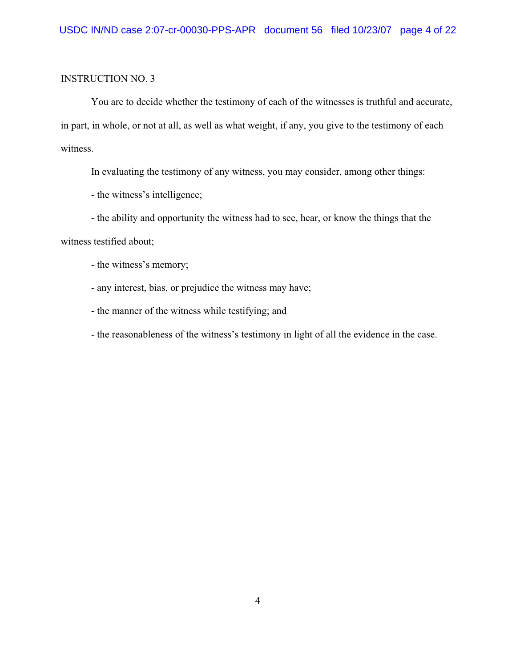You are to decide whether the testimony of each of the witnesses is truthful and accurate, in part, in whole, or not at all, as well as what weight, if any, you give to the testimony of each witness.

In evaluating the testimony of any witness, you may consider, among other things:

- the witness's intelligence;

- the ability and opportunity the witness had to see, hear, or know the things that the

witness testified about;

- the witness's memory;

- any interest, bias, or prejudice the witness may have;

- the manner of the witness while testifying; and

- the reasonableness of the witness's testimony in light of all the evidence in the case.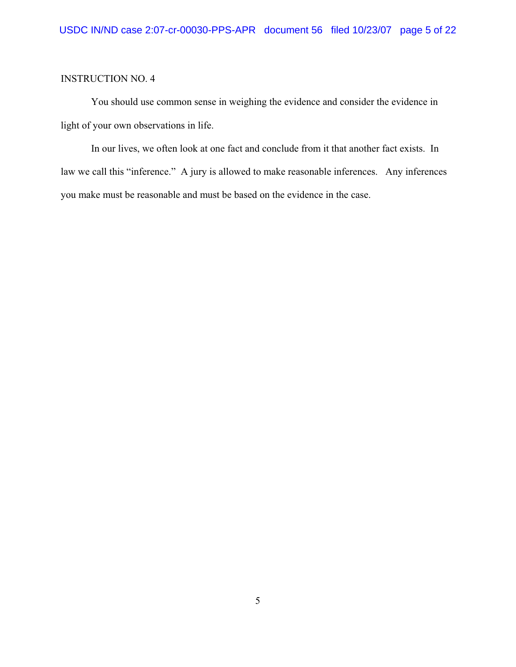You should use common sense in weighing the evidence and consider the evidence in light of your own observations in life.

In our lives, we often look at one fact and conclude from it that another fact exists. In law we call this "inference." A jury is allowed to make reasonable inferences. Any inferences you make must be reasonable and must be based on the evidence in the case.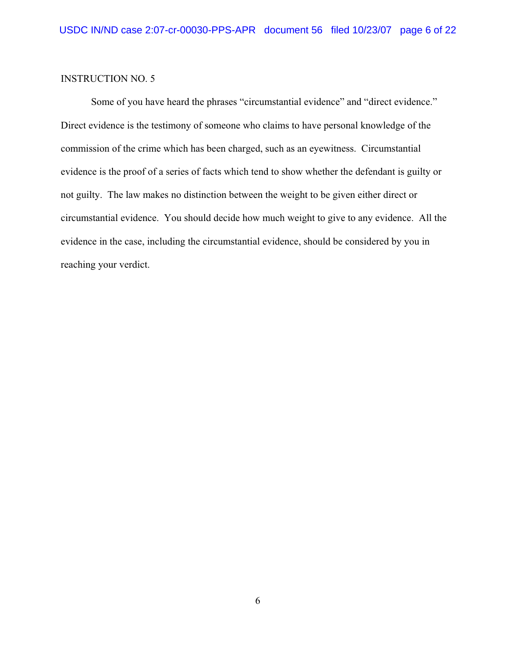Some of you have heard the phrases "circumstantial evidence" and "direct evidence." Direct evidence is the testimony of someone who claims to have personal knowledge of the commission of the crime which has been charged, such as an eyewitness. Circumstantial evidence is the proof of a series of facts which tend to show whether the defendant is guilty or not guilty. The law makes no distinction between the weight to be given either direct or circumstantial evidence. You should decide how much weight to give to any evidence. All the evidence in the case, including the circumstantial evidence, should be considered by you in reaching your verdict.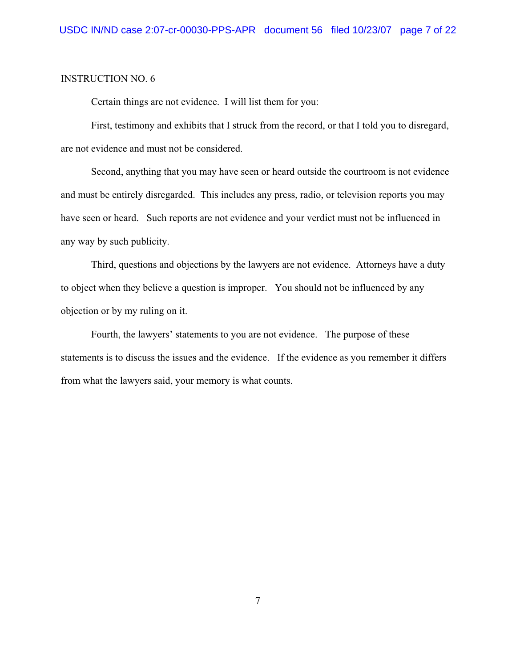Certain things are not evidence. I will list them for you:

First, testimony and exhibits that I struck from the record, or that I told you to disregard, are not evidence and must not be considered.

Second, anything that you may have seen or heard outside the courtroom is not evidence and must be entirely disregarded. This includes any press, radio, or television reports you may have seen or heard. Such reports are not evidence and your verdict must not be influenced in any way by such publicity.

Third, questions and objections by the lawyers are not evidence. Attorneys have a duty to object when they believe a question is improper. You should not be influenced by any objection or by my ruling on it.

Fourth, the lawyers' statements to you are not evidence. The purpose of these statements is to discuss the issues and the evidence. If the evidence as you remember it differs from what the lawyers said, your memory is what counts.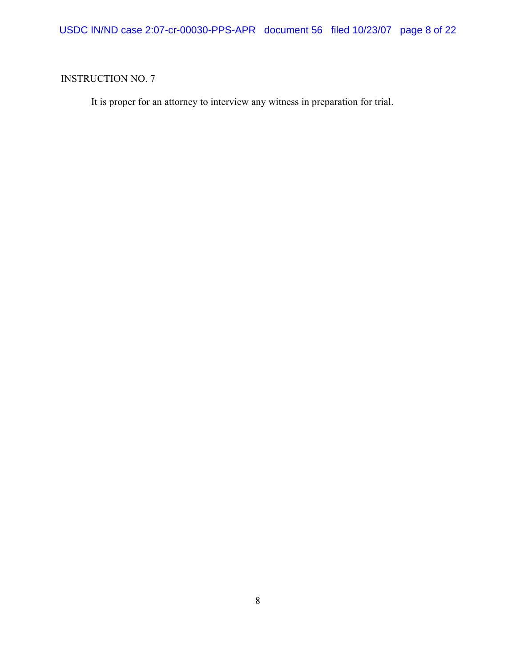It is proper for an attorney to interview any witness in preparation for trial.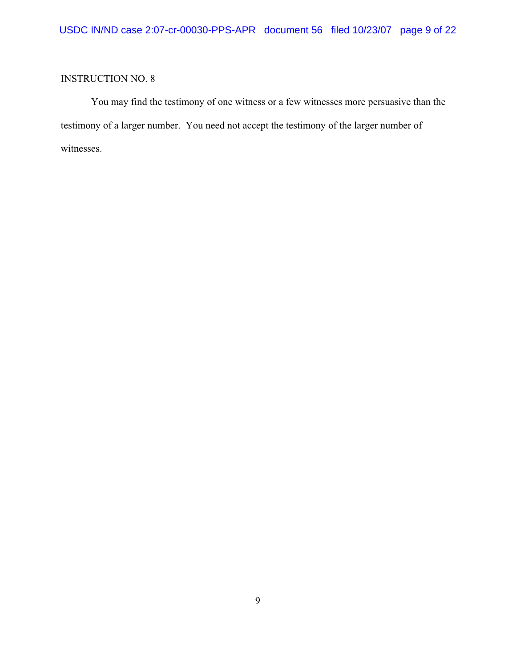You may find the testimony of one witness or a few witnesses more persuasive than the testimony of a larger number. You need not accept the testimony of the larger number of witnesses.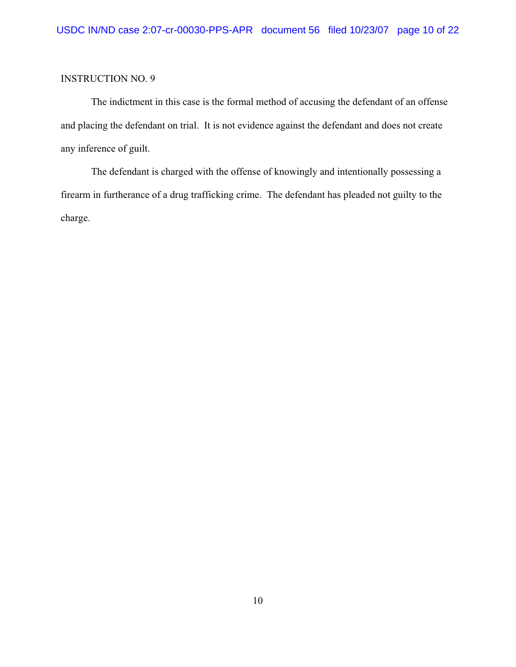The indictment in this case is the formal method of accusing the defendant of an offense and placing the defendant on trial. It is not evidence against the defendant and does not create any inference of guilt.

The defendant is charged with the offense of knowingly and intentionally possessing a firearm in furtherance of a drug trafficking crime. The defendant has pleaded not guilty to the charge.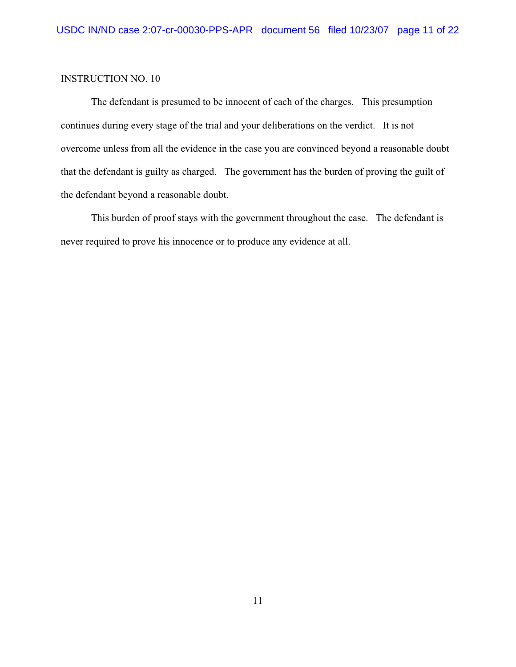The defendant is presumed to be innocent of each of the charges. This presumption continues during every stage of the trial and your deliberations on the verdict. It is not overcome unless from all the evidence in the case you are convinced beyond a reasonable doubt that the defendant is guilty as charged. The government has the burden of proving the guilt of the defendant beyond a reasonable doubt.

This burden of proof stays with the government throughout the case. The defendant is never required to prove his innocence or to produce any evidence at all.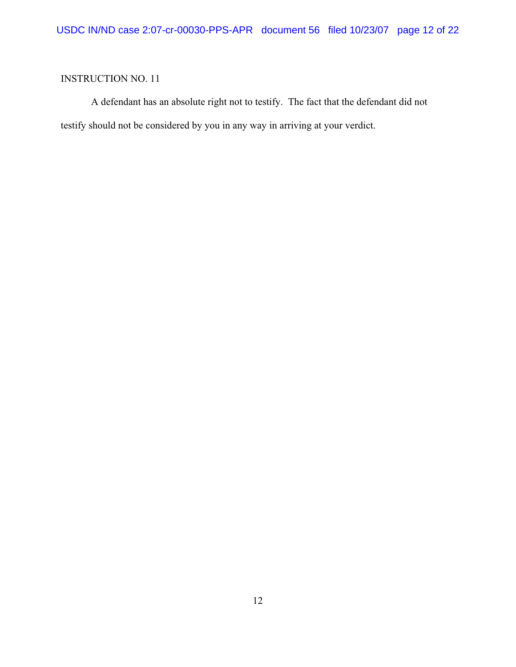A defendant has an absolute right not to testify. The fact that the defendant did not testify should not be considered by you in any way in arriving at your verdict.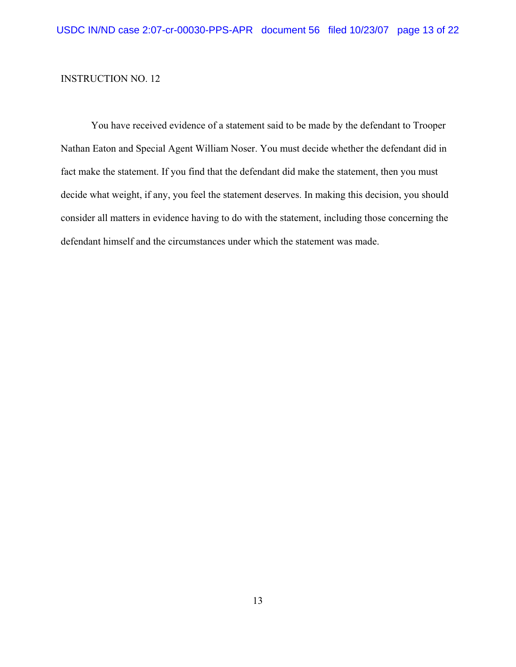You have received evidence of a statement said to be made by the defendant to Trooper Nathan Eaton and Special Agent William Noser. You must decide whether the defendant did in fact make the statement. If you find that the defendant did make the statement, then you must decide what weight, if any, you feel the statement deserves. In making this decision, you should consider all matters in evidence having to do with the statement, including those concerning the defendant himself and the circumstances under which the statement was made.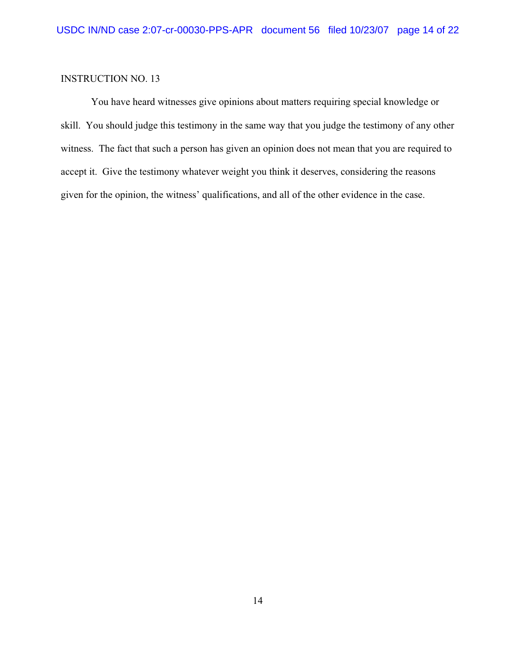You have heard witnesses give opinions about matters requiring special knowledge or skill. You should judge this testimony in the same way that you judge the testimony of any other witness. The fact that such a person has given an opinion does not mean that you are required to accept it. Give the testimony whatever weight you think it deserves, considering the reasons given for the opinion, the witness' qualifications, and all of the other evidence in the case.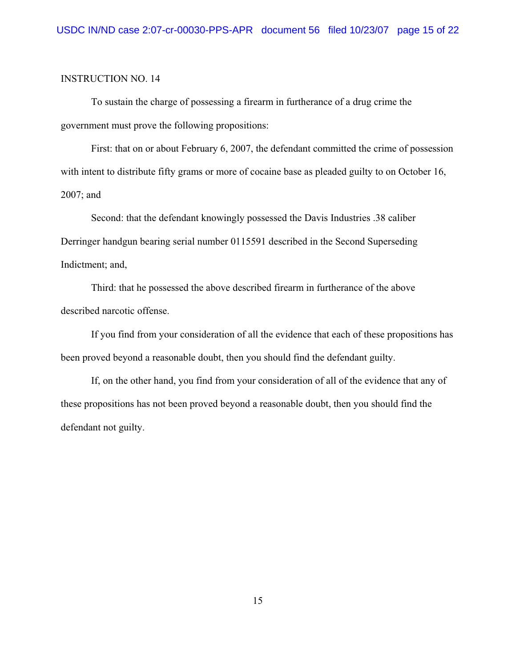To sustain the charge of possessing a firearm in furtherance of a drug crime the government must prove the following propositions:

First: that on or about February 6, 2007, the defendant committed the crime of possession with intent to distribute fifty grams or more of cocaine base as pleaded guilty to on October 16, 2007; and

Second: that the defendant knowingly possessed the Davis Industries .38 caliber Derringer handgun bearing serial number 0115591 described in the Second Superseding Indictment; and,

Third: that he possessed the above described firearm in furtherance of the above described narcotic offense.

If you find from your consideration of all the evidence that each of these propositions has been proved beyond a reasonable doubt, then you should find the defendant guilty.

If, on the other hand, you find from your consideration of all of the evidence that any of these propositions has not been proved beyond a reasonable doubt, then you should find the defendant not guilty.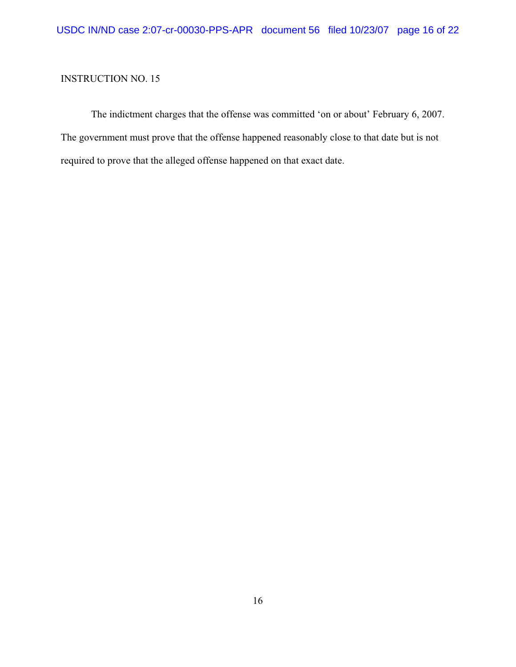The indictment charges that the offense was committed 'on or about' February 6, 2007. The government must prove that the offense happened reasonably close to that date but is not required to prove that the alleged offense happened on that exact date.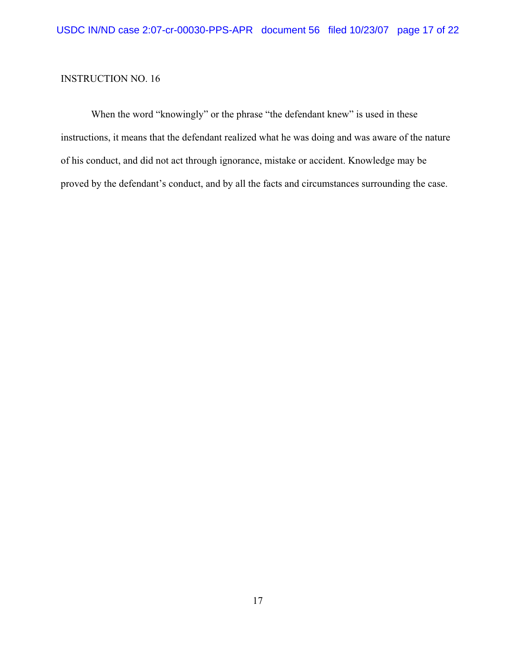When the word "knowingly" or the phrase "the defendant knew" is used in these instructions, it means that the defendant realized what he was doing and was aware of the nature of his conduct, and did not act through ignorance, mistake or accident. Knowledge may be proved by the defendant's conduct, and by all the facts and circumstances surrounding the case.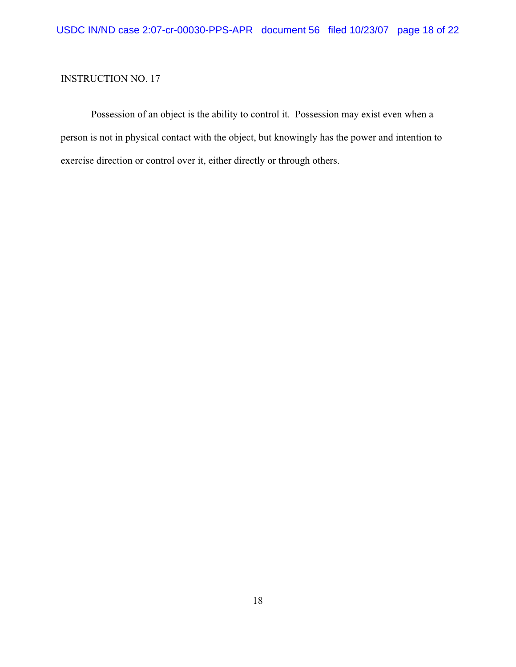Possession of an object is the ability to control it. Possession may exist even when a person is not in physical contact with the object, but knowingly has the power and intention to exercise direction or control over it, either directly or through others.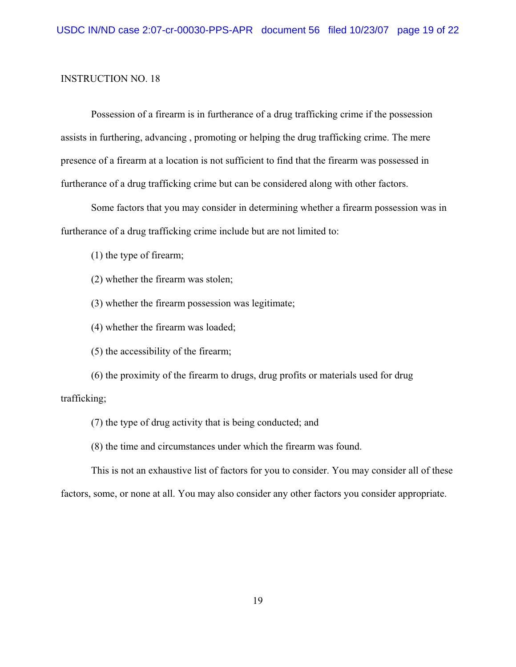Possession of a firearm is in furtherance of a drug trafficking crime if the possession assists in furthering, advancing , promoting or helping the drug trafficking crime. The mere presence of a firearm at a location is not sufficient to find that the firearm was possessed in furtherance of a drug trafficking crime but can be considered along with other factors.

Some factors that you may consider in determining whether a firearm possession was in furtherance of a drug trafficking crime include but are not limited to:

(1) the type of firearm;

(2) whether the firearm was stolen;

(3) whether the firearm possession was legitimate;

(4) whether the firearm was loaded;

(5) the accessibility of the firearm;

(6) the proximity of the firearm to drugs, drug profits or materials used for drug trafficking;

(7) the type of drug activity that is being conducted; and

(8) the time and circumstances under which the firearm was found.

This is not an exhaustive list of factors for you to consider. You may consider all of these

factors, some, or none at all. You may also consider any other factors you consider appropriate.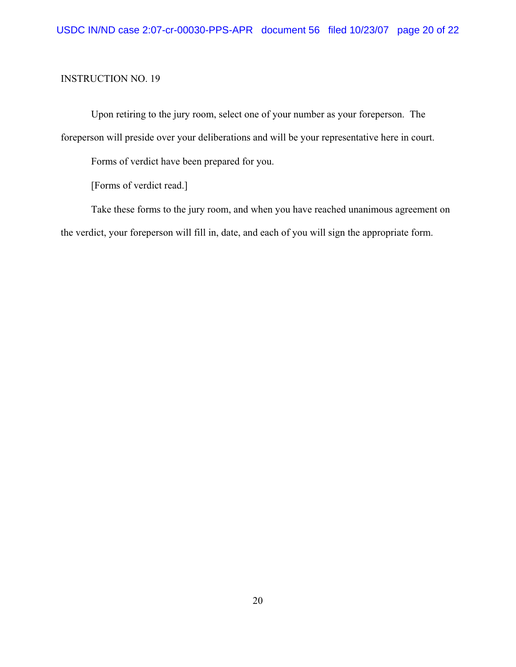Upon retiring to the jury room, select one of your number as your foreperson. The

foreperson will preside over your deliberations and will be your representative here in court.

Forms of verdict have been prepared for you.

[Forms of verdict read.]

Take these forms to the jury room, and when you have reached unanimous agreement on the verdict, your foreperson will fill in, date, and each of you will sign the appropriate form.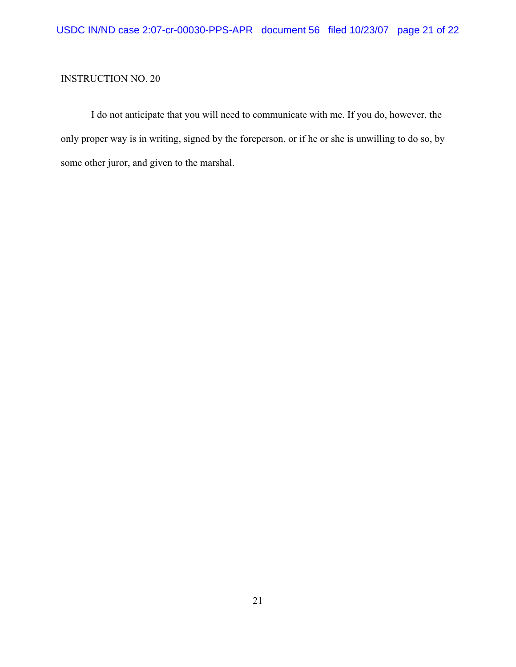I do not anticipate that you will need to communicate with me. If you do, however, the only proper way is in writing, signed by the foreperson, or if he or she is unwilling to do so, by some other juror, and given to the marshal.